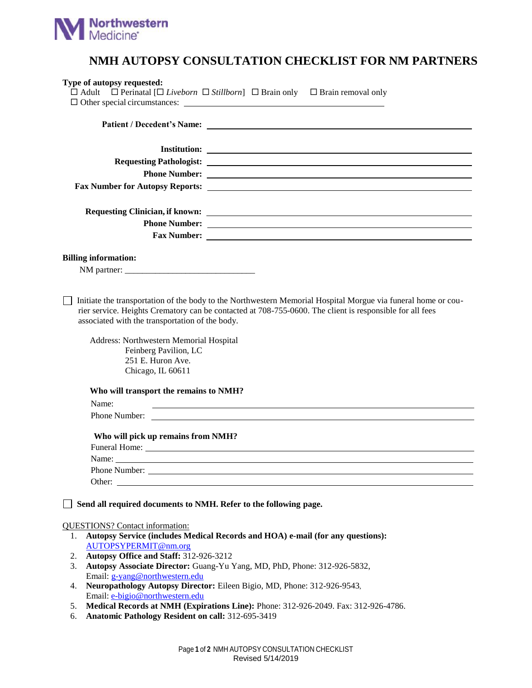

## **NMH AUTOPSY CONSULTATION CHECKLIST FOR NM PARTNERS**

| Type of autopsy requested:                                                                                                                                                                                       | $\Box$ Adult $\Box$ Perinatal $[\Box$ Liveborn $\Box$ Stillborn] $\Box$ Brain only $\Box$ Brain removal only<br>$\Box$ Other special circumstances: $\Box$                                                                                                                                                                                                     |
|------------------------------------------------------------------------------------------------------------------------------------------------------------------------------------------------------------------|----------------------------------------------------------------------------------------------------------------------------------------------------------------------------------------------------------------------------------------------------------------------------------------------------------------------------------------------------------------|
|                                                                                                                                                                                                                  |                                                                                                                                                                                                                                                                                                                                                                |
|                                                                                                                                                                                                                  |                                                                                                                                                                                                                                                                                                                                                                |
|                                                                                                                                                                                                                  |                                                                                                                                                                                                                                                                                                                                                                |
|                                                                                                                                                                                                                  |                                                                                                                                                                                                                                                                                                                                                                |
|                                                                                                                                                                                                                  |                                                                                                                                                                                                                                                                                                                                                                |
|                                                                                                                                                                                                                  |                                                                                                                                                                                                                                                                                                                                                                |
|                                                                                                                                                                                                                  |                                                                                                                                                                                                                                                                                                                                                                |
|                                                                                                                                                                                                                  |                                                                                                                                                                                                                                                                                                                                                                |
|                                                                                                                                                                                                                  |                                                                                                                                                                                                                                                                                                                                                                |
|                                                                                                                                                                                                                  |                                                                                                                                                                                                                                                                                                                                                                |
| <b>Billing information:</b>                                                                                                                                                                                      |                                                                                                                                                                                                                                                                                                                                                                |
|                                                                                                                                                                                                                  |                                                                                                                                                                                                                                                                                                                                                                |
| associated with the transportation of the body.<br>Address: Northwestern Memorial Hospital<br>Feinberg Pavilion, LC<br>251 E. Huron Ave.<br>Chicago, IL 60611<br>Who will transport the remains to NMH?<br>Name: | Initiate the transportation of the body to the Northwestern Memorial Hospital Morgue via funeral home or cou-<br>rier service. Heights Crematory can be contacted at 708-755-0600. The client is responsible for all fees<br>and the control of the control of the control of the control of the control of the control of the control of the<br>Phone Number: |
| Who will pick up remains from NMH?                                                                                                                                                                               |                                                                                                                                                                                                                                                                                                                                                                |
|                                                                                                                                                                                                                  |                                                                                                                                                                                                                                                                                                                                                                |
|                                                                                                                                                                                                                  |                                                                                                                                                                                                                                                                                                                                                                |
|                                                                                                                                                                                                                  |                                                                                                                                                                                                                                                                                                                                                                |
| Send all required documents to NMH. Refer to the following page.                                                                                                                                                 |                                                                                                                                                                                                                                                                                                                                                                |
| <b>QUESTIONS?</b> Contact information:                                                                                                                                                                           |                                                                                                                                                                                                                                                                                                                                                                |
| 1.<br>AUTOPSYPERMIT@nm.org                                                                                                                                                                                       | Autopsy Service (includes Medical Records and HOA) e-mail (for any questions):                                                                                                                                                                                                                                                                                 |
| Autopsy Office and Staff: 312-926-3212<br>2.                                                                                                                                                                     |                                                                                                                                                                                                                                                                                                                                                                |
| 3.                                                                                                                                                                                                               | Autopsy Associate Director: Guang-Yu Yang, MD, PhD, Phone: 312-926-5832,                                                                                                                                                                                                                                                                                       |
| Email: g-yang@northwestern.edu                                                                                                                                                                                   |                                                                                                                                                                                                                                                                                                                                                                |
| 4.                                                                                                                                                                                                               | Neuropathology Autopsy Director: Eileen Bigio, MD, Phone: 312-926-9543,                                                                                                                                                                                                                                                                                        |
| Email: e-bigio@northwestern.edu<br>5.                                                                                                                                                                            | Medical Records at NMH (Expirations Line): Phone: 312-926-2049. Fax: 312-926-4786.                                                                                                                                                                                                                                                                             |
| Anatomic Pathology Resident on call: 312-695-3419<br>6.                                                                                                                                                          |                                                                                                                                                                                                                                                                                                                                                                |